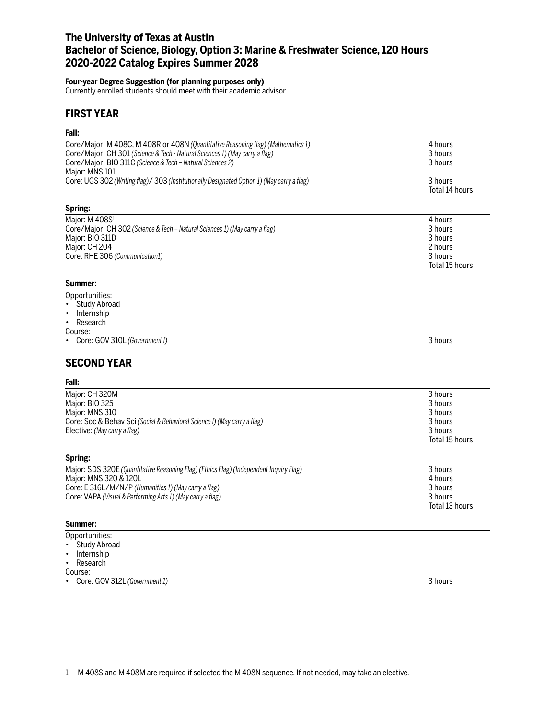# **The University of Texas at Austin Bachelor of Science, Biology, Option 3: Marine & Freshwater Science, 120 Hours 2020-2022 Catalog Expires Summer 2028**

#### **Four-year Degree Suggestion (for planning purposes only)**

Currently enrolled students should meet with their academic advisor

### **FIRST YEAR**

### **Fall:**

| ган.                                                                                                                                                                                                                                            |                                                                       |
|-------------------------------------------------------------------------------------------------------------------------------------------------------------------------------------------------------------------------------------------------|-----------------------------------------------------------------------|
| Core/Major: M 408C, M 408R or 408N (Quantitative Reasoning flag) (Mathematics 1)<br>Core/Major: CH 301 (Science & Tech - Natural Sciences 1) (May carry a flag)<br>Core/Major: BIO 311C (Science & Tech - Natural Sciences 2)<br>Major: MNS 101 | 4 hours<br>3 hours<br>3 hours                                         |
| Core: UGS 302 (Writing flag)/ 303 (Institutionally Designated Option 1) (May carry a flag)                                                                                                                                                      | 3 hours<br>Total 14 hours                                             |
| Spring:                                                                                                                                                                                                                                         |                                                                       |
| Major: M 408S <sup>1</sup><br>Core/Major: CH 302 (Science & Tech - Natural Sciences 1) (May carry a flag)<br>Major: BIO 311D<br>Major: CH 204<br>Core: RHE 306 (Communication1)<br>Summer:                                                      | 4 hours<br>3 hours<br>3 hours<br>2 hours<br>3 hours<br>Total 15 hours |
| Opportunities:                                                                                                                                                                                                                                  |                                                                       |
| <b>Study Abroad</b><br>Internship<br>Research<br>$\bullet$<br>Course:<br>Core: GOV 310L (Government I)                                                                                                                                          | 3 hours                                                               |
| <b>SECOND YEAR</b>                                                                                                                                                                                                                              |                                                                       |
| Fall:                                                                                                                                                                                                                                           |                                                                       |
| Major: CH 320M<br>Major: BIO 325<br>Major: MNS 310<br>Core: Soc & Behav Sci (Social & Behavioral Science I) (May carry a flag)<br>Elective: (May carry a flag)                                                                                  | 3 hours<br>3 hours<br>3 hours<br>3 hours<br>3 hours<br>Total 15 hours |
| Spring:                                                                                                                                                                                                                                         |                                                                       |
| Major: SDS 320E (Quantitative Reasoning Flag) (Ethics Flag) (Independent Inquiry Flag)<br>Major: MNS 320 & 120L<br>Core: E 316L/M/N/P (Humanities 1) (May carry a flag)<br>Core: VAPA (Visual & Performing Arts 1) (May carry a flag)           | 3 hours<br>4 hours<br>3 hours<br>3 hours<br>Total 13 hours            |

### **Summer:**

- Opportunities:
- Study Abroad
- Internship

• Research Course:

• Core: GOV 312L *(Government 1)* 3 hours

<sup>1</sup> M 408S and M 408M are required if selected the M 408N sequence. If not needed, may take an elective.